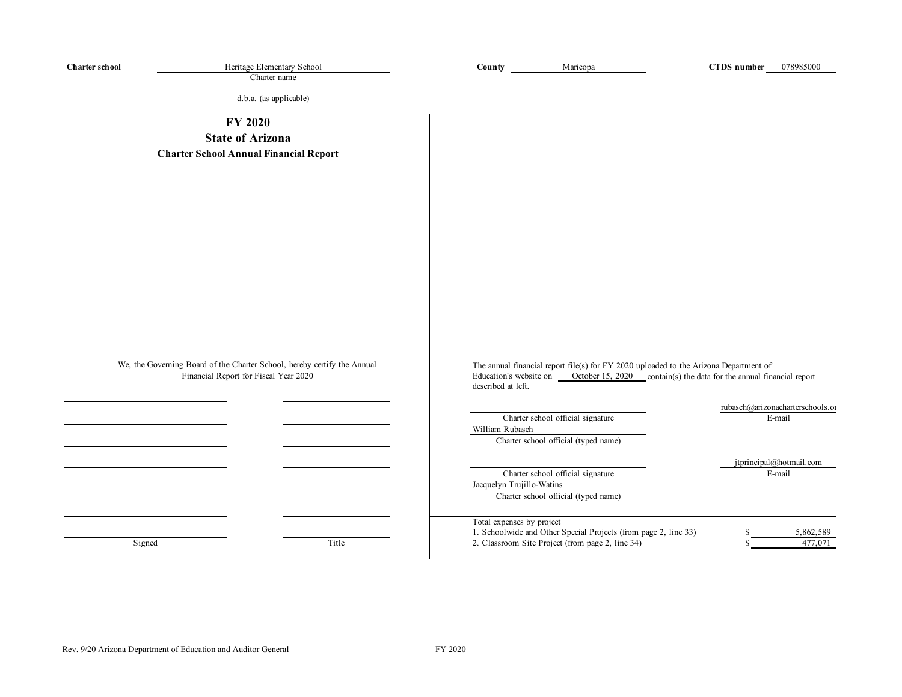| <b>Charter school</b> | Heritage Elementary School<br>Charter name                                                                        | County                                       | Maricopa                                                                                                            | CTDS number                                                                                                                                                     | 078985000                                  |
|-----------------------|-------------------------------------------------------------------------------------------------------------------|----------------------------------------------|---------------------------------------------------------------------------------------------------------------------|-----------------------------------------------------------------------------------------------------------------------------------------------------------------|--------------------------------------------|
|                       | d.b.a. (as applicable)                                                                                            |                                              |                                                                                                                     |                                                                                                                                                                 |                                            |
|                       | <b>FY 2020</b>                                                                                                    |                                              |                                                                                                                     |                                                                                                                                                                 |                                            |
|                       | <b>State of Arizona</b>                                                                                           |                                              |                                                                                                                     |                                                                                                                                                                 |                                            |
|                       | <b>Charter School Annual Financial Report</b>                                                                     |                                              |                                                                                                                     |                                                                                                                                                                 |                                            |
|                       |                                                                                                                   |                                              |                                                                                                                     |                                                                                                                                                                 |                                            |
|                       | We, the Governing Board of the Charter School, hereby certify the Annual<br>Financial Report for Fiscal Year 2020 | Education's website on<br>described at left. |                                                                                                                     | The annual financial report file(s) for FY 2020 uploaded to the Arizona Department of<br>October $15, 2020$ contain(s) the data for the annual financial report |                                            |
|                       |                                                                                                                   | William Rubasch                              | Charter school official signature<br>Charter school official (typed name)                                           |                                                                                                                                                                 | rubasch@arizonacharterschools.or<br>E-mail |
|                       |                                                                                                                   | Jacquelyn Trujillo-Watins                    | Charter school official signature<br>Charter school official (typed name)                                           |                                                                                                                                                                 | jtprincipal@hotmail.com<br>E-mail          |
|                       | Title<br>Signed                                                                                                   | Total expenses by project                    | 1. Schoolwide and Other Special Projects (from page 2, line 33)<br>2. Classroom Site Project (from page 2, line 34) | S                                                                                                                                                               | 5,862,589<br>477,071                       |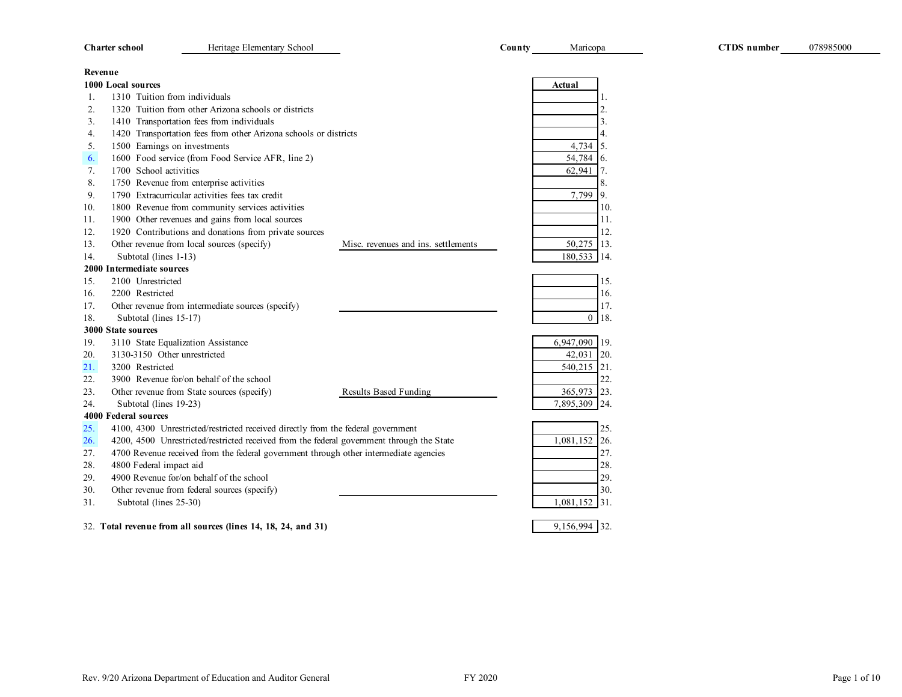|         | <b>Charter school</b>         | Heritage Elementary School                                                                |                                     | County | Maricopa         | <b>CTDS</b> number |
|---------|-------------------------------|-------------------------------------------------------------------------------------------|-------------------------------------|--------|------------------|--------------------|
| Revenue |                               |                                                                                           |                                     |        |                  |                    |
|         | 1000 Local sources            |                                                                                           |                                     |        | Actual           |                    |
| 1.      | 1310 Tuition from individuals |                                                                                           |                                     |        |                  |                    |
| 2.      |                               | 1320 Tuition from other Arizona schools or districts                                      |                                     |        |                  |                    |
| 3.      |                               | 1410 Transportation fees from individuals                                                 |                                     |        |                  | 3.                 |
| 4.      |                               | 1420 Transportation fees from other Arizona schools or districts                          |                                     |        |                  | 4.                 |
| 5.      | 1500 Earnings on investments  |                                                                                           |                                     |        | 4,734            | 5.                 |
| 6.      |                               | 1600 Food service (from Food Service AFR, line 2)                                         |                                     |        | 54,784           | 6.                 |
| 7.      | 1700 School activities        |                                                                                           |                                     |        | 62,941           | 7.                 |
| 8.      |                               | 1750 Revenue from enterprise activities                                                   |                                     |        |                  | 8.                 |
| 9.      |                               | 1790 Extracurricular activities fees tax credit                                           |                                     |        | 7,799            | 9.                 |
| 10.     |                               | 1800 Revenue from community services activities                                           |                                     |        |                  | 10.                |
| 11.     |                               | 1900 Other revenues and gains from local sources                                          |                                     |        |                  | 11.                |
| 12.     |                               | 1920 Contributions and donations from private sources                                     |                                     |        |                  | 12.                |
| 13.     |                               | Other revenue from local sources (specify)                                                | Misc. revenues and ins. settlements |        | 50,275           | 13.                |
| 14.     | Subtotal (lines 1-13)         |                                                                                           |                                     |        | 180,533 14.      |                    |
|         | 2000 Intermediate sources     |                                                                                           |                                     |        |                  |                    |
| 15.     | 2100 Unrestricted             |                                                                                           |                                     |        |                  | 15.                |
| 16.     | 2200 Restricted               |                                                                                           |                                     |        |                  | 16.                |
| 17.     |                               | Other revenue from intermediate sources (specify)                                         |                                     |        |                  | 17.                |
| 18.     | Subtotal (lines 15-17)        |                                                                                           |                                     |        | $\boldsymbol{0}$ | 18.                |
|         | <b>3000 State sources</b>     |                                                                                           |                                     |        |                  |                    |
| 19.     |                               | 3110 State Equalization Assistance                                                        |                                     |        | 6,947,090 19.    |                    |
| 20.     | 3130-3150 Other unrestricted  |                                                                                           |                                     |        | 42,031           | 120.               |
| 21.     | 3200 Restricted               |                                                                                           |                                     |        | 540,215 21.      |                    |
| 22.     |                               | 3900 Revenue for/on behalf of the school                                                  |                                     |        |                  | 22.                |
| 23.     |                               | Other revenue from State sources (specify)                                                | <b>Results Based Funding</b>        |        | 365,973          | 123.               |
| 24.     | Subtotal (lines 19-23)        |                                                                                           |                                     |        | 7,895,309 24.    |                    |
|         | 4000 Federal sources          |                                                                                           |                                     |        |                  |                    |
| 25.     |                               | 4100, 4300 Unrestricted/restricted received directly from the federal government          |                                     |        |                  | 25.                |
| 26.     |                               | 4200, 4500 Unrestricted/restricted received from the federal government through the State |                                     |        | 1,081,152        | 26.                |
| 27.     |                               | 4700 Revenue received from the federal government through other intermediate agencies     |                                     |        |                  | 27.                |
| 28.     | 4800 Federal impact aid       |                                                                                           |                                     |        |                  | 28.                |
| 29.     |                               | 4900 Revenue for/on behalf of the school                                                  |                                     |        |                  | 29.                |
| 30.     |                               | Other revenue from federal sources (specify)                                              |                                     |        |                  | 30.                |
| 31.     | Subtotal (lines 25-30)        |                                                                                           |                                     |        | 1,081,152 31.    |                    |
|         |                               | 32. Total revenue from all sources (lines 14, 18, 24, and 31)                             |                                     |        | 9,156,994 32.    |                    |

078985000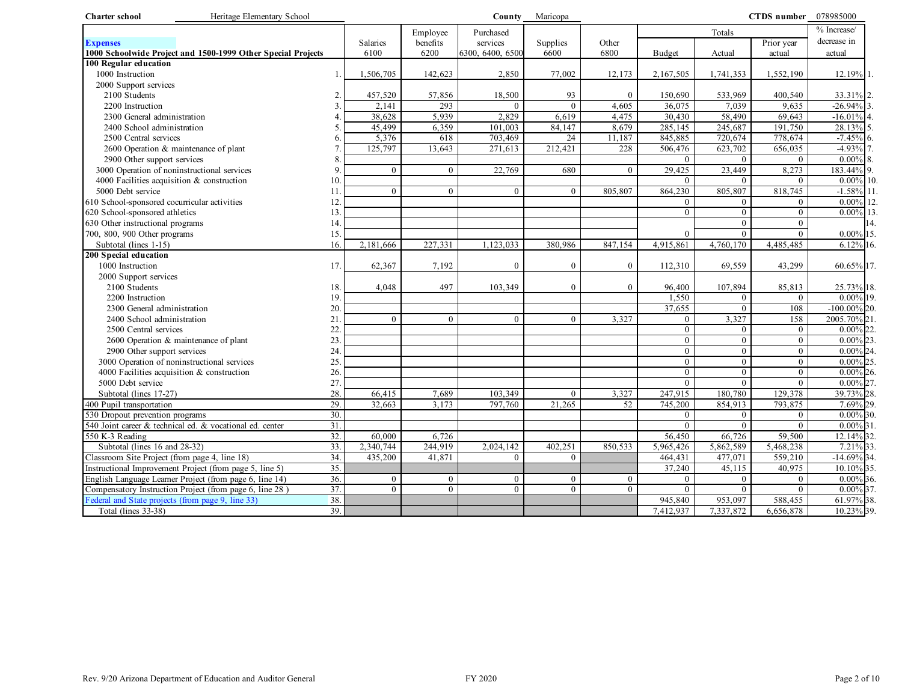| <b>Charter school</b><br>Heritage Elementary School                         |                          |                |                |                  | County Maricopa |                |                          |                        | CTDS number 078985000  |                            |
|-----------------------------------------------------------------------------|--------------------------|----------------|----------------|------------------|-----------------|----------------|--------------------------|------------------------|------------------------|----------------------------|
|                                                                             |                          |                | Employee       | Purchased        |                 |                |                          | Totals                 |                        | % Increase/                |
| <b>Expenses</b>                                                             |                          | Salaries       | benefits       | services         | Supplies        | Other          |                          |                        | Prior year             | decrease in                |
| 1000 Schoolwide Project and 1500-1999 Other Special Projects                |                          | 6100           | 6200           | 6300, 6400, 6500 | 6600            | 6800           | <b>Budget</b>            | Actual                 | actual                 | actual                     |
| 100 Regular education                                                       |                          |                |                |                  |                 |                |                          |                        |                        |                            |
| 1000 Instruction                                                            |                          | 1,506,705      | 142,623        | 2,850            | 77,002          | 12,173         | 2,167,505                | 1,741,353              | 1,552,190              | 12.19% 1.                  |
| 2000 Support services                                                       |                          |                |                |                  |                 |                |                          |                        |                        |                            |
| 2100 Students                                                               | $\overline{2}$           | 457,520        | 57,856         | 18,500           | 93              | $\Omega$       | 150,690                  | 533,969                | 400,540                | 33.31% 2.                  |
| 2200 Instruction                                                            | $\overline{3}$           | 2,141          | 293            | $\theta$         | $\overline{0}$  | 4,605          | 36,075                   | 7,039                  | 9,635                  | $-26.94\%$ 3.              |
| 2300 General administration                                                 |                          | 38.628         | 5,939          | 2.829            | 6,619           | 4.475          | 30,430                   | 58,490                 | 69,643                 | $-16.01\%$ 4.              |
| 2400 School administration                                                  | .5                       | 45,499         | 6,359          | 101,003          | 84,147          | 8,679          | 285,145                  | 245,687                | 191,750                | 28.13% 5.                  |
| 2500 Central services                                                       | 6                        | 5,376          | 618            | 703,469          | 24              | 11.187         | 845,885                  | 720,674                | 778,674                | $-7.45%$<br>6.             |
| 2600 Operation & maintenance of plant                                       |                          | 125,797        | 13,643         | 271,613          | 212,421         | 228            | 506,476                  | 623,702                | 656,035                | -4.93% 7.                  |
| 2900 Other support services                                                 | $\mathbf{8}$             |                |                |                  |                 |                | $\mathbf{0}$             | $\theta$               | $\Omega$               | $0.00\%$<br>8.             |
| 3000 Operation of noninstructional services                                 | 9.                       | $\mathbf{0}$   | $\Omega$       | 22,769           | 680             | $\theta$       | 29,425                   | 23,449                 | 8,273                  | 183.44% 9.                 |
| 4000 Facilities acquisition $&$ construction                                | 10.                      |                |                |                  |                 |                | $\Omega$                 | $\Omega$               | $\Omega$               | $0.00\%$ 10.               |
| 5000 Debt service                                                           | 11                       | $\theta$       | $\overline{0}$ | $\theta$         | $\overline{0}$  | 805,807        | 864,230                  | 805,807                | 818,745                | $-1.58\%$ 11.              |
| 610 School-sponsored cocurricular activities                                | 12                       |                |                |                  |                 |                | $\mathbf{0}$             | $\overline{0}$         | $\Omega$               | $0.00\%$ 12.               |
| 620 School-sponsored athletics                                              | 13.                      |                |                |                  |                 |                | $\overline{0}$           | $\overline{0}$         | $\mathbf{0}$           | $0.00\%$<br>13.            |
| 630 Other instructional programs                                            | 14.                      |                |                |                  |                 |                |                          | $\theta$               | $\mathbf{0}$           | 14.                        |
| 700, 800, 900 Other programs                                                | 15.                      |                |                |                  |                 |                | $\theta$                 | $\Omega$               | $\Omega$               | $0.00\%$ 15.               |
| Subtotal (lines 1-15)                                                       | 16.                      | 2,181,666      | 227,331        | 1,123,033        | 380,986         | 847,154        | 4,915,861                | 4,760,170              | 4,485,485              | $6.12\%$ 16.               |
| 200 Special education                                                       |                          |                |                |                  |                 |                |                          |                        |                        |                            |
| 1000 Instruction                                                            | 17.                      | 62,367         | 7,192          | $\Omega$         | $\overline{0}$  | $\Omega$       | 112,310                  | 69,559                 | 43,299                 | 60.65% 17.                 |
| 2000 Support services                                                       |                          |                |                |                  |                 |                |                          |                        |                        |                            |
| 2100 Students                                                               | 18.                      | 4,048          | 497            | 103,349          | $\overline{0}$  | $\mathbf{0}$   | 96,400                   | 107,894                | 85,813                 | 25.73% 18.                 |
| 2200 Instruction                                                            | 19.                      |                |                |                  |                 |                | 1,550                    | $\mathbf{0}$           | $\mathbf{0}$           | $0.00\%$ 19.               |
| 2300 General administration                                                 | 20.                      |                |                |                  |                 |                | 37,655                   | $\theta$               | 108                    | $-100.00\%$ 20.            |
| 2400 School administration                                                  | 21                       | $\mathbf{0}$   | $\Omega$       | $\overline{0}$   | $\overline{0}$  | 3,327          | $\mathbf{0}$             | 3,327                  | 158                    | 2005.70% 21.               |
| 2500 Central services                                                       | 22                       |                |                |                  |                 |                | $\overline{0}$           | $\overline{0}$         | $\mathbf{0}$           | $0.00\%$ 22.               |
| 2600 Operation & maintenance of plant                                       | 23.                      |                |                |                  |                 |                | $\overline{0}$           | $\overline{0}$         | $\mathbf{0}$           | $0.00\%$<br>23.            |
| 2900 Other support services                                                 | 24.                      |                |                |                  |                 |                | $\mathbf{0}$             | $\overline{0}$         | $\mathbf{0}$           | $0.00\%$ 24.               |
| 3000 Operation of noninstructional services                                 | 25.                      |                |                |                  |                 |                | $\overline{0}$           | $\theta$               | $\theta$               | $0.00\%$<br>25.            |
| 4000 Facilities acquisition & construction                                  | 26.                      |                |                |                  |                 |                | $\Omega$                 | $\overline{0}$         | $\theta$               | $0.00\%$ 26.               |
| 5000 Debt service                                                           | 27.                      |                |                |                  |                 |                | $\mathbf{0}$             | $\theta$               | $\theta$               | $0.00\%$ 27.               |
| Subtotal (lines 17-27)                                                      | 28.                      | 66.415         | 7,689          | 103,349          | $\Omega$        | 3,327          | 247,915                  | 180,780                | 129,378                | 39.73% 28.                 |
| 400 Pupil transportation                                                    | 29.<br>$\overline{30}$ . | 32,663         | 3,173          | 797,760          | 21,265          | 52             | 745,200                  | 854,913                | 793,875                | 7.69% 29.                  |
| 530 Dropout prevention programs                                             |                          |                |                |                  |                 |                | $\mathbf{0}$             | $\overline{0}$         | $\mathbf{0}$           | $0.00\%$ 30.               |
| 540 Joint career & technical ed. & vocational ed. center<br>550 K-3 Reading | 31.<br>$\overline{32}$ . | 60,000         | 6,726          |                  |                 |                | $\overline{0}$<br>56,450 | $\mathbf{0}$<br>66,726 | $\mathbf{0}$<br>59,500 | $0.00\%$ 31.<br>12.14% 32. |
| Subtotal (lines 16 and 28-32)                                               | 33.                      | 2,340,744      | 244,919        | 2.024.142        | 402.251         | 850,533        | 5.965.426                | 5,862,589              | 5,468,238              | 7.21% 33                   |
| Classroom Site Project (from page 4, line 18)                               | $\overline{34}$          | 435,200        | 41,871         | $\mathbf{0}$     | $\overline{0}$  |                | 464,431                  | 477,071                | 559,210                | $-14.69\%$ 34.             |
| Instructional Improvement Project (from page 5, line 5)                     | 35.                      |                |                |                  |                 |                | 37,240                   | 45,115                 | 40,975                 | 10.10% 35.                 |
| English Language Learner Project (from page 6, line 14)                     | 36.                      | $\overline{0}$ | $\Omega$       | $\overline{0}$   | $\overline{0}$  | $\overline{0}$ | $\mathbf{0}$             | $\theta$               | $\mathbf{0}$           | $0.00\%$ 36.               |
| Compensatory Instruction Project (from page 6, line 28)                     | 37.                      | $\mathbf{0}$   | $\overline{0}$ | $\overline{0}$   | $\overline{0}$  | $\Omega$       | $\theta$                 | $\theta$               | $\theta$               | $0.00\%$ 37.               |
| Federal and State projects (from page 9, line 33)                           | 38.                      |                |                |                  |                 |                | 945,840                  | 953,097                | 588,455                | 61.97% 38.                 |
| Total (lines 33-38)                                                         | 39.                      |                |                |                  |                 |                | 7,412,937                | 7,337,872              | 6,656,878              | 10.23% 39.                 |
|                                                                             |                          |                |                |                  |                 |                |                          |                        |                        |                            |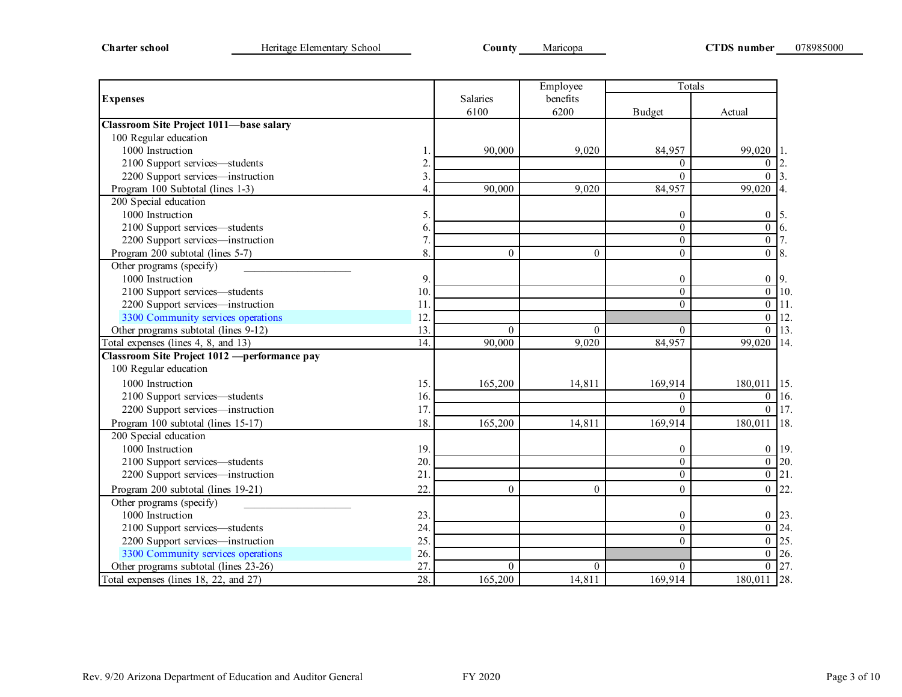|                                                |                  |          | Employee         | Totals           |                    |     |
|------------------------------------------------|------------------|----------|------------------|------------------|--------------------|-----|
| <b>Expenses</b>                                |                  | Salaries | benefits         |                  |                    |     |
|                                                |                  | 6100     | 6200             | <b>Budget</b>    | Actual             |     |
| <b>Classroom Site Project 1011-base salary</b> |                  |          |                  |                  |                    |     |
| 100 Regular education                          |                  |          |                  |                  |                    |     |
| 1000 Instruction                               |                  | 90,000   | 9,020            | 84,957           | 99,020             | 1.  |
| 2100 Support services-students                 | $\overline{2}$ . |          |                  | $\Omega$         | $\boldsymbol{0}$   |     |
| 2200 Support services-instruction              | 3.               |          |                  | $\Omega$         | $\Omega$           |     |
| Program 100 Subtotal (lines 1-3)               | 4.               | 90,000   | 9,020            | 84,957           | 99,020             | 4.  |
| 200 Special education                          |                  |          |                  |                  |                    |     |
| 1000 Instruction                               | 5.               |          |                  | 0                | $\overline{0}$     | 5.  |
| 2100 Support services-students                 | 6.               |          |                  | $\Omega$         | $\overline{0}$     | 6.  |
| 2200 Support services-instruction              | 7.               |          |                  | $\overline{0}$   | $\mathbf{0}$       |     |
| Program 200 subtotal (lines 5-7)               | 8.               | $\Omega$ | $\theta$         | $\overline{0}$   | $0 \mid 8$ .       |     |
| Other programs (specify)                       |                  |          |                  |                  |                    |     |
| 1000 Instruction                               | 9.               |          |                  | $\boldsymbol{0}$ | $\mathbf{0}$       | 9.  |
| 2100 Support services-students                 | 10.              |          |                  | $\Omega$         | $\overline{0}$     | 10. |
| 2200 Support services-instruction              | 11.              |          |                  | $\theta$         | $\overline{0}$     | 11. |
| 3300 Community services operations             | 12.              |          |                  |                  | $\overline{0}$     | 12. |
| Other programs subtotal (lines 9-12)           | 13.              | $\theta$ | $\Omega$         | $\theta$         | $\overline{0}$     | 13. |
| Total expenses (lines 4, 8, and 13)            | 14.              | 90,000   | 9,020            | 84,957           | 99,020             | 14. |
| Classroom Site Project 1012 - performance pay  |                  |          |                  |                  |                    |     |
| 100 Regular education                          |                  |          |                  |                  |                    |     |
| 1000 Instruction                               | 15.              | 165,200  | 14,811           | 169,914          | 180,011 15.        |     |
| 2100 Support services-students                 | 16.              |          |                  | $\Omega$         | $0$ 16.            |     |
| 2200 Support services-instruction              | 17.              |          |                  | $\Omega$         | $0$   17.          |     |
| Program 100 subtotal (lines 15-17)             | 18.              | 165,200  | 14,811           | 169,914          | 180,011            | 18. |
| 200 Special education                          |                  |          |                  |                  |                    |     |
| 1000 Instruction                               | 19.              |          |                  | $\boldsymbol{0}$ | $\boldsymbol{0}$   | 19. |
| 2100 Support services-students                 | 20.              |          |                  | $\theta$         | $\overline{0}$     | 20. |
| 2200 Support services-instruction              | 21.              |          |                  | $\Omega$         | $\overline{0}$     | 21. |
| Program 200 subtotal (lines 19-21)             | 22.              | $\Omega$ | $\theta$         | $\overline{0}$   | $\overline{0}$     | 22. |
| Other programs (specify)                       |                  |          |                  |                  |                    |     |
| 1000 Instruction                               | 23.              |          |                  | $\boldsymbol{0}$ | $\boldsymbol{0}$   | 23  |
| 2100 Support services-students                 | 24.              |          |                  | $\Omega$         | $\overline{0}$     | 24. |
| 2200 Support services-instruction              | 25.              |          |                  | $\Omega$         | $\overline{0}$ 25. |     |
| 3300 Community services operations             | 26.              |          |                  |                  | $\overline{0}$ 26. |     |
| Other programs subtotal (lines 23-26)          | 27.              | $\theta$ | $\boldsymbol{0}$ | $\overline{0}$   | $\overline{0}$ 27. |     |
| Total expenses (lines 18, 22, and 27)          | 28.              | 165,200  | 14,811           | 169,914          | 180,011 28.        |     |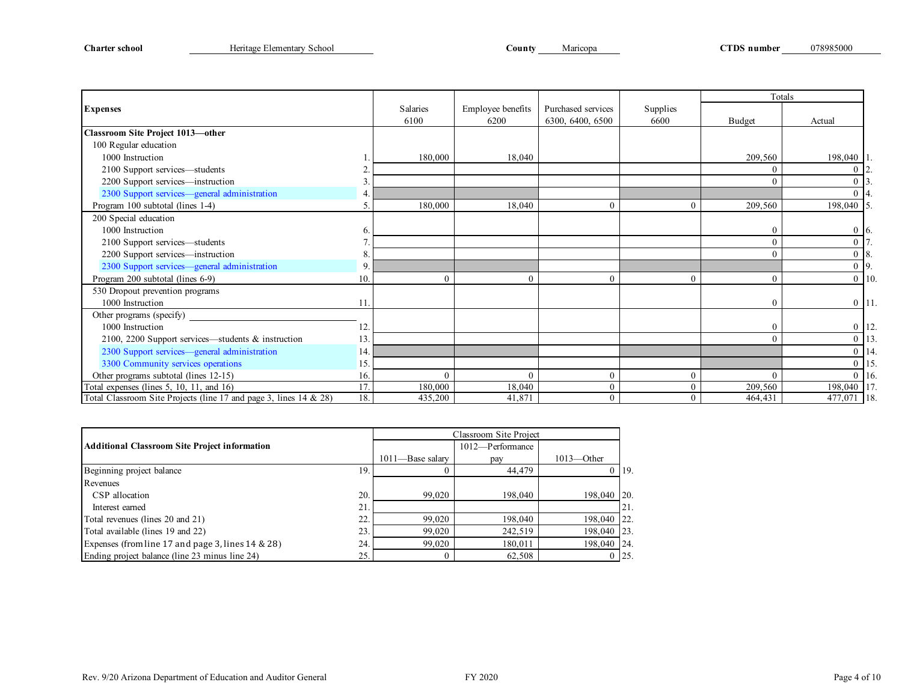|                                                                   |     |                 |                   |                    |          | Totals        |                |     |
|-------------------------------------------------------------------|-----|-----------------|-------------------|--------------------|----------|---------------|----------------|-----|
| <b>Expenses</b>                                                   |     | <b>Salaries</b> | Employee benefits | Purchased services | Supplies |               |                |     |
|                                                                   |     | 6100            | 6200              | 6300, 6400, 6500   | 6600     | <b>Budget</b> | Actual         |     |
| Classroom Site Project 1013-other                                 |     |                 |                   |                    |          |               |                |     |
| 100 Regular education                                             |     |                 |                   |                    |          |               |                |     |
| 1000 Instruction                                                  |     | 180,000         | 18,040            |                    |          | 209,560       | 198,040 1      |     |
| 2100 Support services—students                                    |     |                 |                   |                    |          | $\Omega$      |                |     |
| 2200 Support services—instruction                                 |     |                 |                   |                    |          |               |                |     |
| 2300 Support services-general administration                      |     |                 |                   |                    |          |               | $0\;\;   4$    |     |
| Program 100 subtotal (lines 1-4)                                  |     | 180,000         | 18,040            |                    | $\Omega$ | 209,560       | 198,040 5.     |     |
| 200 Special education                                             |     |                 |                   |                    |          |               |                |     |
| 1000 Instruction                                                  |     |                 |                   |                    |          |               | $0\quad6.$     |     |
| 2100 Support services—students                                    |     |                 |                   |                    |          | $\Omega$      | $\Omega$       |     |
| 2200 Support services-instruction                                 |     |                 |                   |                    |          | $\Omega$      | $08$ .         |     |
| 2300 Support services-general administration                      | 9   |                 |                   |                    |          |               | $0\quad 9.$    |     |
| Program 200 subtotal (lines 6-9)                                  | 10. | ſ               | $\theta$          |                    | $\theta$ | $\Omega$      | $\overline{0}$ | 10. |
| 530 Dropout prevention programs                                   |     |                 |                   |                    |          |               |                |     |
| 1000 Instruction                                                  |     |                 |                   |                    |          | 0             | $0$ 11.        |     |
| Other programs (specify)                                          |     |                 |                   |                    |          |               |                |     |
| 1000 Instruction                                                  | 12. |                 |                   |                    |          |               | $0$ 12.        |     |
| 2100, 2200 Support services—students & instruction                | 13. |                 |                   |                    |          | $\Omega$      | $0$ 13.        |     |
| 2300 Support services—general administration                      | 14. |                 |                   |                    |          |               | $0$ 14.        |     |
| 3300 Community services operations                                | 15. |                 |                   |                    |          |               | $0$ 15.        |     |
| Other programs subtotal (lines 12-15)                             | 16. | $\theta$        | $\mathbf{0}$      | 0                  | $\theta$ | $\Omega$      | $0$ 16.        |     |
| Total expenses (lines $5$ , $10$ , $11$ , and $16$ )              | 17. | 180,000         | 18,040            | $\Omega$           | $\theta$ | 209,560       | 198,040 17.    |     |
| Total Classroom Site Projects (line 17 and page 3, lines 14 & 28) | 18. | 435,200         | 41,871            | $\theta$           | $\theta$ | 464,431       | $477,071$ 18.  |     |

|                                                      |     |                      | Classroom Site Project |               |      |
|------------------------------------------------------|-----|----------------------|------------------------|---------------|------|
| <b>Additional Classroom Site Project information</b> |     |                      | 1012-Performance       |               |      |
|                                                      |     | $1011 -$ Base salary | pay                    | $1013$ —Other |      |
| Beginning project balance                            | 19. |                      | 44,479                 |               | 119. |
| Revenues                                             |     |                      |                        |               |      |
| CSP allocation                                       | 20. | 99,020               | 198,040                | 198,040       | 120. |
| Interest earned                                      | 21. |                      |                        |               | 21.  |
| Total revenues (lines 20 and 21)                     | 22. | 99,020               | 198,040                | 198,040       | 122. |
| Total available (lines 19 and 22)                    | 23. | 99,020               | 242,519                | 198,040       | 123. |
| Expenses (from line 17 and page 3, lines 14 & 28)    | 24. | 99,020               | 180,011                | 198,040       | 124. |
| Ending project balance (line 23 minus line 24)       | 25. |                      | 62,508                 |               | 125. |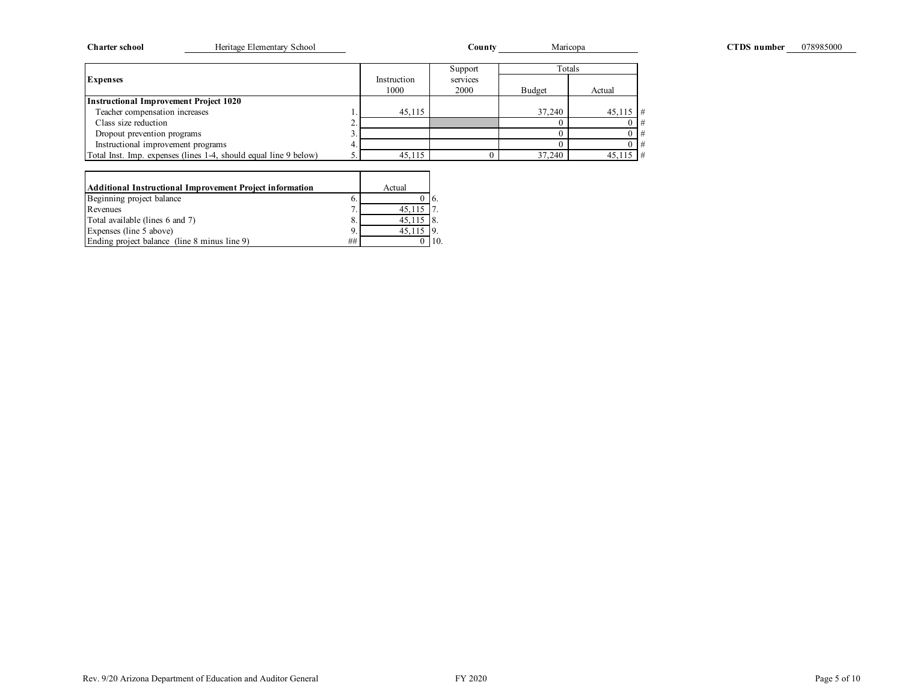| Heritage Elementary School<br><b>Charter school</b>              |                     | County           | Maricopa |            | CTDS number | 078985000 |
|------------------------------------------------------------------|---------------------|------------------|----------|------------|-------------|-----------|
|                                                                  |                     | Support          | Totals   |            |             |           |
| <b>Expenses</b>                                                  | Instruction<br>1000 | services<br>2000 | Budget   | Actual     |             |           |
| <b>Instructional Improvement Project 1020</b>                    |                     |                  |          |            |             |           |
| Teacher compensation increases                                   | 45,115              |                  | 37,240   | $45,115$ # |             |           |
| Class size reduction                                             |                     |                  |          |            |             |           |
| Dropout prevention programs                                      |                     |                  |          |            |             |           |
| Instructional improvement programs                               |                     |                  |          |            |             |           |
| Total Inst. Imp. expenses (lines 1-4, should equal line 9 below) | 45,115              |                  | 37,240   | $45,115$ # |             |           |

| Additional Instructional Improvement Project information |    | Actual                               |  |
|----------------------------------------------------------|----|--------------------------------------|--|
| Beginning project balance                                | 6. |                                      |  |
| Revenues                                                 |    | 45.115                               |  |
| Total available (lines 6 and 7)                          | 8. | $45.115$ $\overline{\phantom{1}}$ 8. |  |
| Expenses (line 5 above)                                  | 9. | 45.115                               |  |
| Ending project balance (line 8 minus line 9)             | ## |                                      |  |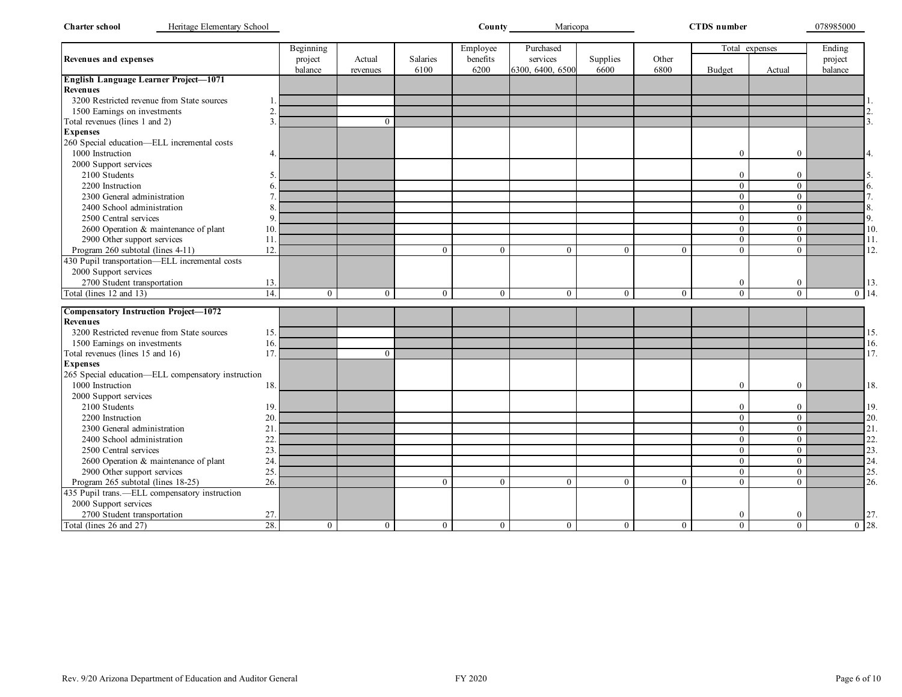| <b>Charter school</b><br>Heritage Elementary School      |                |                |                |                | County_        | Maricopa         |                |                | <b>CTDS</b> number |                  | 078985000 |
|----------------------------------------------------------|----------------|----------------|----------------|----------------|----------------|------------------|----------------|----------------|--------------------|------------------|-----------|
|                                                          |                | Beginning      |                |                | Employee       | Purchased        |                |                | Total expenses     |                  | Ending    |
| <b>Revenues and expenses</b>                             |                | project        | Actual         | Salaries       | benefits       | services         | Supplies       | Other          |                    |                  | project   |
|                                                          |                | balance        | revenues       | 6100           | 6200           | 6300, 6400, 6500 | 6600           | 6800           | <b>Budget</b>      | Actual           | balance   |
| English Language Learner Project-1071<br><b>Revenues</b> |                |                |                |                |                |                  |                |                |                    |                  |           |
| 3200 Restricted revenue from State sources               |                |                |                |                |                |                  |                |                |                    |                  |           |
| 1500 Earnings on investments                             | $\overline{2}$ |                |                |                |                |                  |                |                |                    |                  |           |
|                                                          | 3              |                |                |                |                |                  |                |                |                    |                  |           |
| Total revenues (lines 1 and 2)<br><b>Expenses</b>        |                |                | $\theta$       |                |                |                  |                |                |                    |                  |           |
| 260 Special education-ELL incremental costs              |                |                |                |                |                |                  |                |                |                    |                  |           |
| 1000 Instruction                                         | $\overline{4}$ |                |                |                |                |                  |                |                | $\mathbf{0}$       | $\mathbf{0}$     |           |
|                                                          |                |                |                |                |                |                  |                |                |                    |                  |           |
| 2000 Support services                                    |                |                |                |                |                |                  |                |                |                    |                  |           |
| 2100 Students                                            | 5              |                |                |                |                |                  |                |                | $\boldsymbol{0}$   | $\mathbf{0}$     |           |
| 2200 Instruction                                         | 6              |                |                |                |                |                  |                |                | $\overline{0}$     | $\mathbf{0}$     |           |
| 2300 General administration                              |                |                |                |                |                |                  |                |                | $\overline{0}$     | $\Omega$         |           |
| 2400 School administration                               |                |                |                |                |                |                  |                |                | $\overline{0}$     | $\mathbf{0}$     |           |
| 2500 Central services                                    | q              |                |                |                |                |                  |                |                | $\overline{0}$     | $\theta$         |           |
| 2600 Operation & maintenance of plant                    | 10             |                |                |                |                |                  |                |                | $\overline{0}$     | $\mathbf{0}$     |           |
| 2900 Other support services                              | 11             |                |                |                |                |                  |                |                | $\overline{0}$     | $\theta$         |           |
| Program 260 subtotal (lines 4-11)                        | 12.            |                |                | $\Omega$       | $\theta$       | $\theta$         | $\theta$       | $\theta$       | $\theta$           | $\Omega$         |           |
| 430 Pupil transportation-ELL incremental costs           |                |                |                |                |                |                  |                |                |                    |                  |           |
| 2000 Support services                                    |                |                |                |                |                |                  |                |                |                    |                  |           |
| 2700 Student transportation                              | 13.            |                |                |                |                |                  |                |                | $\mathbf{0}$       | $\boldsymbol{0}$ |           |
| Total (lines 12 and 13)                                  | 14.            | $\overline{0}$ | $\mathbf{0}$   | $\mathbf{0}$   | $\mathbf{0}$   | $\boldsymbol{0}$ | $\overline{0}$ | $\mathbf{0}$   | $\overline{0}$     | $\mathbf{0}$     | $0$ 14.   |
| <b>Compensatory Instruction Project-1072</b>             |                |                |                |                |                |                  |                |                |                    |                  |           |
| <b>Revenues</b>                                          |                |                |                |                |                |                  |                |                |                    |                  |           |
| 3200 Restricted revenue from State sources               | 15.            |                |                |                |                |                  |                |                |                    |                  |           |
| 1500 Earnings on investments                             | 16.            |                |                |                |                |                  |                |                |                    |                  |           |
| Total revenues (lines 15 and 16)                         | 17             |                | $\theta$       |                |                |                  |                |                |                    |                  |           |
| <b>Expenses</b>                                          |                |                |                |                |                |                  |                |                |                    |                  |           |
| 265 Special education-ELL compensatory instruction       |                |                |                |                |                |                  |                |                |                    |                  |           |
| 1000 Instruction                                         | 18.            |                |                |                |                |                  |                |                | $\mathbf{0}$       | $\mathbf{0}$     |           |
| 2000 Support services                                    |                |                |                |                |                |                  |                |                |                    |                  |           |
| 2100 Students                                            | 19             |                |                |                |                |                  |                |                | $\mathbf{0}$       | $\mathbf{0}$     |           |
| 2200 Instruction                                         | 20             |                |                |                |                |                  |                |                | $\overline{0}$     | $\theta$         |           |
| 2300 General administration                              | 21             |                |                |                |                |                  |                |                | $\mathbf{0}$       | $\mathbf{0}$     |           |
| 2400 School administration                               | 22             |                |                |                |                |                  |                |                | $\overline{0}$     | $\mathbf{0}$     |           |
| 2500 Central services                                    | 23             |                |                |                |                |                  |                |                | $\overline{0}$     | $\mathbf{0}$     |           |
| 2600 Operation & maintenance of plant                    | 24             |                |                |                |                |                  |                |                | $\overline{0}$     | $\mathbf{0}$     |           |
| 2900 Other support services                              | 25             |                |                |                |                |                  |                |                | $\overline{0}$     | $\mathbf{0}$     |           |
| Program 265 subtotal (lines 18-25)                       | 26.            |                |                | $\Omega$       | $\mathbf{0}$   | $\mathbf{0}$     | $\theta$       | $\Omega$       | $\mathbf{0}$       | $\mathbf{0}$     |           |
| 435 Pupil trans.-ELL compensatory instruction            |                |                |                |                |                |                  |                |                |                    |                  |           |
|                                                          |                |                |                |                |                |                  |                |                |                    |                  |           |
| 2000 Support services                                    |                |                |                |                |                |                  |                |                |                    |                  |           |
| 2700 Student transportation                              | 27.            |                |                |                |                |                  |                |                | $\bf{0}$           | $\boldsymbol{0}$ |           |
| Total (lines 26 and 27)                                  | 28.            | $\overline{0}$ | $\overline{0}$ | $\overline{0}$ | $\overline{0}$ | $\boldsymbol{0}$ | $\overline{0}$ | $\overline{0}$ | $\overline{0}$     | $\overline{0}$   | $0$ 28.   |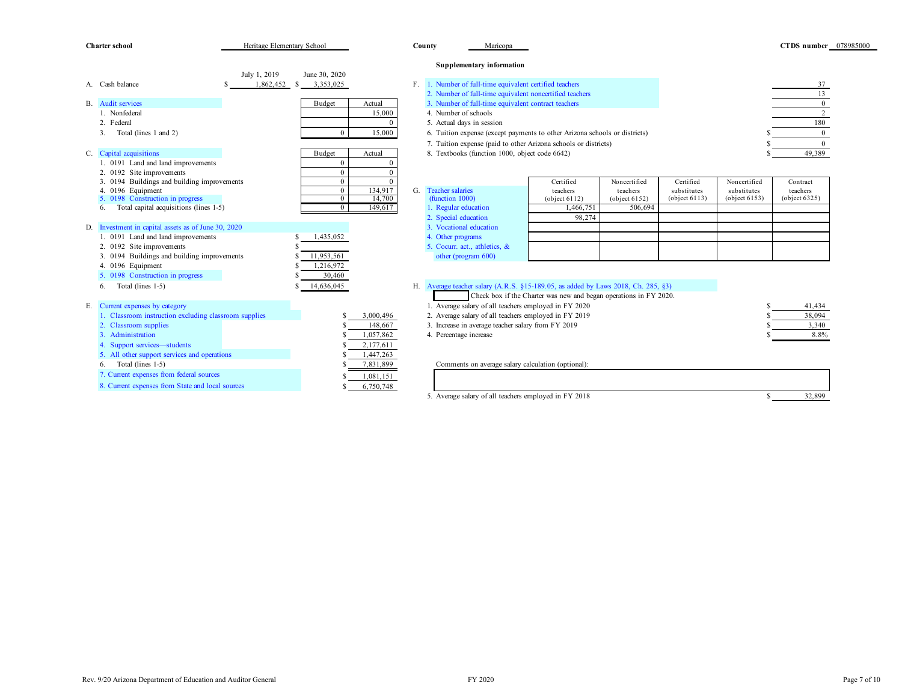|    | <b>Charter school</b>                                             | Heritage Elementary School |                                    |                   |             | County | Maricopa                                                                          |                                                                   |                           |                              |                                 | CTDS number 078985000     |  |
|----|-------------------------------------------------------------------|----------------------------|------------------------------------|-------------------|-------------|--------|-----------------------------------------------------------------------------------|-------------------------------------------------------------------|---------------------------|------------------------------|---------------------------------|---------------------------|--|
|    |                                                                   |                            |                                    |                   |             |        | <b>Supplementary information</b>                                                  |                                                                   |                           |                              |                                 |                           |  |
|    |                                                                   | July 1, 2019               | June 30, 2020                      |                   |             |        |                                                                                   |                                                                   |                           |                              |                                 |                           |  |
|    | A. Cash balance                                                   | 1,862,452                  | 3,353,025<br>- \$                  |                   | $F_{\perp}$ |        | 1. Number of full-time equivalent certified teachers                              |                                                                   |                           |                              |                                 | 37                        |  |
|    |                                                                   |                            |                                    |                   |             |        | 2. Number of full-time equivalent noncertified teachers                           |                                                                   |                           |                              |                                 | 13                        |  |
|    | <b>B.</b> Audit services                                          |                            | Budget                             | Actual            |             |        | 3. Number of full-time equivalent contract teachers                               |                                                                   |                           |                              |                                 | $\mathbf{0}$              |  |
|    | 1. Nonfederal                                                     |                            |                                    | 15,000            |             |        | 4. Number of schools                                                              |                                                                   |                           |                              |                                 | 2                         |  |
|    | 2. Federal                                                        |                            |                                    | $\Omega$          |             |        | 5. Actual days in session                                                         |                                                                   |                           |                              |                                 | 180                       |  |
|    | Total (lines 1 and 2)<br>3.                                       |                            | $\bf{0}$                           | 15,000            |             |        | 6. Tuition expense (except payments to other Arizona schools or districts)        |                                                                   |                           |                              |                                 | $\overline{0}$            |  |
|    |                                                                   |                            |                                    |                   |             |        | 7. Tuition expense (paid to other Arizona schools or districts)                   |                                                                   |                           |                              |                                 | $\Omega$                  |  |
|    | C. Capital acquisitions                                           |                            | <b>Budget</b>                      | Actual            |             |        | 8. Textbooks (function 1000, object code 6642)                                    |                                                                   |                           |                              |                                 | 49,389                    |  |
|    | 1. 0191 Land and land improvements                                |                            | $\mathbf{0}$                       |                   |             |        |                                                                                   |                                                                   |                           |                              |                                 |                           |  |
|    | 2. 0192 Site improvements                                         |                            | $\mathbf{0}$                       |                   |             |        |                                                                                   |                                                                   |                           |                              |                                 |                           |  |
|    | 3. 0194 Buildings and building improvements                       |                            | $\mathbf{0}$                       | $\Omega$          |             |        |                                                                                   | Certified                                                         | Noncertified              | Certified                    | Noncertified                    | Contract                  |  |
|    | 4. 0196 Equipment<br>5. 0198 Construction in progress             |                            | $\boldsymbol{0}$<br>$\overline{0}$ | 134,917<br>14,700 | G.          |        | <b>Teacher salaries</b><br>(function 1000)                                        | teachers<br>(object 6112)                                         | teachers<br>(object 6152) | substitutes<br>(object 6113) | substitutes<br>(object $6153$ ) | teachers<br>(object 6325) |  |
|    | Total capital acquisitions (lines 1-5)<br>6.                      |                            | $\overline{0}$                     | 149,617           |             |        | 1. Regular education                                                              | 1,466,751                                                         | 506,694                   |                              |                                 |                           |  |
|    |                                                                   |                            |                                    |                   |             |        | 2. Special education                                                              | 98.274                                                            |                           |                              |                                 |                           |  |
|    | D. Investment in capital assets as of June 30, 2020               |                            |                                    |                   |             |        | 3. Vocational education                                                           |                                                                   |                           |                              |                                 |                           |  |
|    | 1. 0191 Land and land improvements                                |                            | 1,435,052                          |                   |             |        | 4. Other programs                                                                 |                                                                   |                           |                              |                                 |                           |  |
|    | 2. 0192 Site improvements                                         |                            |                                    |                   |             |        | 5. Cocurr. act., athletics, &                                                     |                                                                   |                           |                              |                                 |                           |  |
|    | 3. 0194 Buildings and building improvements                       |                            | 11,953,561                         |                   |             |        | other (program 600)                                                               |                                                                   |                           |                              |                                 |                           |  |
|    | 4. 0196 Equipment                                                 |                            | 1,216,972                          |                   |             |        |                                                                                   |                                                                   |                           |                              |                                 |                           |  |
|    | 5. 0198 Construction in progress                                  |                            | 30,460                             |                   |             |        |                                                                                   |                                                                   |                           |                              |                                 |                           |  |
|    | Total (lines 1-5)<br>6.                                           |                            | 14,636,045                         |                   |             |        | H. Average teacher salary (A.R.S. §15-189.05, as added by Laws 2018, Ch. 285, §3) |                                                                   |                           |                              |                                 |                           |  |
|    |                                                                   |                            |                                    |                   |             |        |                                                                                   | Check box if the Charter was new and began operations in FY 2020. |                           |                              |                                 |                           |  |
| Е. | Current expenses by category                                      |                            |                                    |                   |             |        | 1. Average salary of all teachers employed in FY 2020                             |                                                                   |                           |                              |                                 | 41,434                    |  |
|    | 1. Classroom instruction excluding classroom supplies             |                            |                                    | 3,000,496         |             |        | 2. Average salary of all teachers employed in FY 2019                             |                                                                   |                           |                              |                                 | 38,094                    |  |
|    | 2. Classroom supplies                                             |                            |                                    | 148,667           |             |        | 3. Increase in average teacher salary from FY 2019                                |                                                                   |                           |                              |                                 | 3,340                     |  |
|    | 3. Administration                                                 |                            |                                    | 1,057,862         |             |        | 4. Percentage increase                                                            |                                                                   |                           |                              |                                 | 8.8%                      |  |
|    | 4. Support services-students                                      |                            |                                    | 2,177,611         |             |        |                                                                                   |                                                                   |                           |                              |                                 |                           |  |
|    | 5. All other support services and operations<br>Total (lines 1-5) |                            |                                    | 1,447,263         |             |        |                                                                                   |                                                                   |                           |                              |                                 |                           |  |
|    | 6.                                                                |                            |                                    | 7,831,899         |             |        | Comments on average salary calculation (optional):                                |                                                                   |                           |                              |                                 |                           |  |
|    | 7. Current expenses from federal sources                          |                            |                                    | 1,081,151         |             |        |                                                                                   |                                                                   |                           |                              |                                 |                           |  |
|    | 8. Current expenses from State and local sources                  |                            |                                    | 6,750,748         |             |        |                                                                                   |                                                                   |                           |                              |                                 |                           |  |
|    |                                                                   |                            |                                    |                   |             |        | 5. Average salary of all teachers employed in FY 2018                             |                                                                   |                           |                              | S.                              | 32,899                    |  |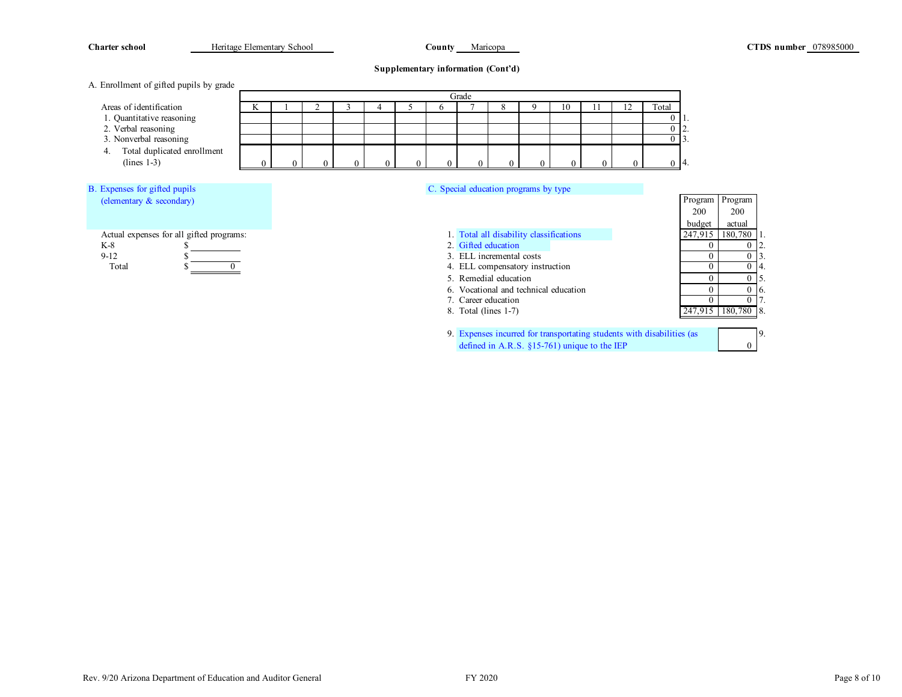| <b>Charter school</b>                         | Heritage Elementary School |   |  |  |  | <b>County</b> Maricopa |                                         |    |     |    |                                  |                  |                 | <b>CTDS</b> number 078985000 |
|-----------------------------------------------|----------------------------|---|--|--|--|------------------------|-----------------------------------------|----|-----|----|----------------------------------|------------------|-----------------|------------------------------|
|                                               |                            |   |  |  |  |                        | Supplementary information (Cont'd)      |    |     |    |                                  |                  |                 |                              |
| A. Enrollment of gifted pupils by grade       |                            |   |  |  |  |                        |                                         |    |     |    |                                  |                  |                 |                              |
|                                               |                            |   |  |  |  | Grade                  |                                         |    |     |    |                                  |                  |                 |                              |
| Areas of identification                       |                            | ĸ |  |  |  |                        |                                         | 10 | 11. | 12 | Total                            |                  |                 |                              |
| 1. Quantitative reasoning                     |                            |   |  |  |  |                        |                                         |    |     |    |                                  |                  |                 |                              |
| 2. Verbal reasoning<br>3. Nonverbal reasoning |                            |   |  |  |  |                        |                                         |    |     |    | $\overline{0}$<br>$\overline{0}$ |                  |                 |                              |
| Total duplicated enrollment                   |                            |   |  |  |  |                        |                                         |    |     |    |                                  |                  |                 |                              |
| $(lines 1-3)$                                 |                            |   |  |  |  |                        |                                         |    |     |    |                                  | $0\,14.$         |                 |                              |
|                                               |                            |   |  |  |  |                        |                                         |    |     |    |                                  |                  |                 |                              |
| B. Expenses for gifted pupils                 |                            |   |  |  |  |                        | C. Special education programs by type   |    |     |    |                                  |                  |                 |                              |
| (elementary & secondary)                      |                            |   |  |  |  |                        |                                         |    |     |    |                                  | Program Program  |                 |                              |
|                                               |                            |   |  |  |  |                        |                                         |    |     |    |                                  | 200<br>200       |                 |                              |
|                                               |                            |   |  |  |  |                        |                                         |    |     |    |                                  | budget<br>actual |                 |                              |
| Actual expenses for all gifted programs:      |                            |   |  |  |  |                        | 1. Total all disability classifications |    |     |    |                                  | 247,915 180,780  |                 |                              |
| $K-8$                                         |                            |   |  |  |  |                        | 2. Gifted education                     |    |     |    |                                  |                  |                 |                              |
| $9-12$                                        |                            |   |  |  |  |                        | 3. ELL incremental costs                |    |     |    |                                  | $\theta$         | 0 <sub>13</sub> |                              |
| Total                                         |                            |   |  |  |  |                        | 4. ELL compensatory instruction         |    |     |    |                                  | $\theta$         | $0\,14.$        |                              |
|                                               |                            |   |  |  |  |                        | 5. Remedial education                   |    |     |    |                                  | $\theta$         | 0 <sub>15</sub> |                              |
|                                               |                            |   |  |  |  |                        | 6. Vocational and technical education   |    |     |    |                                  | $\overline{0}$   | $0\,$ 6.        |                              |

8. Total (lines 1-7)

7. Career education  $\overline{0}$  0  $\overline{0}$  7.

9. Expenses incurred for transportating students with disabilities (as  $\qquad \qquad$ 9.

defined in A.R.S. §15-761) unique to the IEP

8. 247,915 180,780 8.

0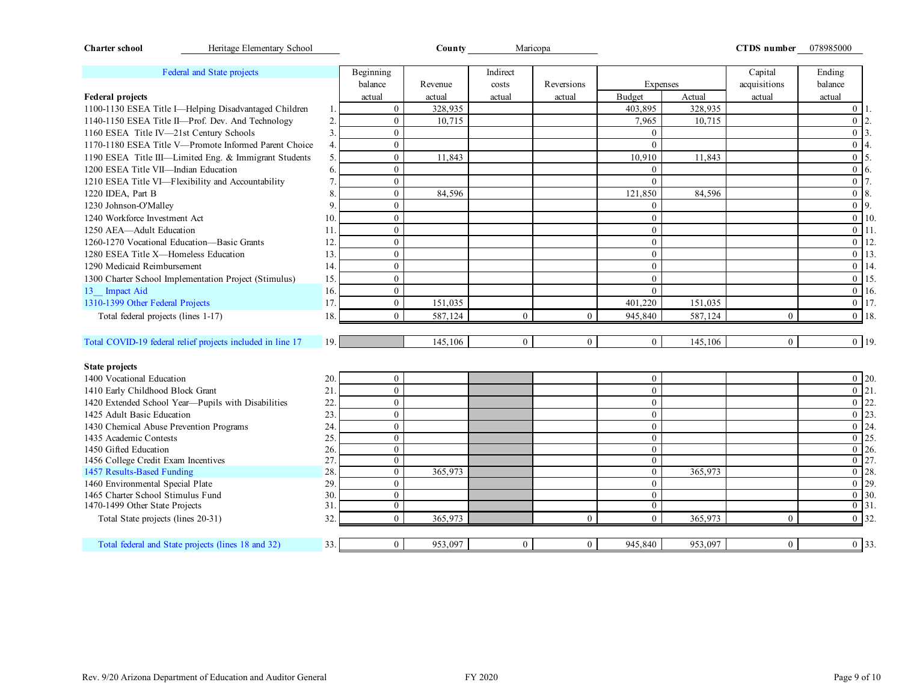| Heritage Elementary School<br><b>Charter school</b>                 |                |                                | County  | Maricopa       |                |                                |         | CTDS number 078985000 |                                             |
|---------------------------------------------------------------------|----------------|--------------------------------|---------|----------------|----------------|--------------------------------|---------|-----------------------|---------------------------------------------|
| Federal and State projects                                          |                | Beginning                      |         | Indirect       |                |                                |         | Capital               | Ending                                      |
|                                                                     |                | balance                        | Revenue | costs          | Reversions     | <b>Expenses</b>                |         | acquisitions          | balance                                     |
| <b>Federal projects</b>                                             |                | actual                         | actual  | actual         | actual         | <b>Budget</b>                  | Actual  | actual                | actual                                      |
| 1100-1130 ESEA Title I-Helping Disadvantaged Children               |                | $\boldsymbol{0}$               | 328,935 |                |                | 403,895                        | 328,935 |                       | $\mathbf{0}$                                |
| 1140-1150 ESEA Title II-Prof. Dev. And Technology                   | $\overline{2}$ | $\mathbf{0}$                   | 10,715  |                |                | 7,965                          | 10,715  |                       | $\overline{0}$<br>2.                        |
| 1160 ESEA Title IV-21st Century Schools                             | 3              | $\boldsymbol{0}$               |         |                |                | $\theta$                       |         |                       | $\overline{0}$<br>3.                        |
| 1170-1180 ESEA Title V-Promote Informed Parent Choice               |                | $\mathbf{0}$                   |         |                |                | $\Omega$                       |         |                       | $\overline{0}$                              |
| 1190 ESEA Title III-Limited Eng. & Immigrant Students               | 5              | $\boldsymbol{0}$               | 11,843  |                |                | 10,910                         | 11,843  |                       | $\overline{0}$<br>5.                        |
| 1200 ESEA Title VII-Indian Education                                | 6              | $\mathbf{0}$                   |         |                |                | $\theta$                       |         |                       | $\overline{0}$<br>6.                        |
| 1210 ESEA Title VI-Flexibility and Accountability                   |                | $\boldsymbol{0}$               |         |                |                | $\overline{0}$                 |         |                       | $\overline{0}$                              |
| 1220 IDEA, Part B                                                   | 8              | $\mathbf{0}$                   | 84,596  |                |                | 121,850                        | 84,596  |                       | $\overline{0}$<br>8.                        |
| 1230 Johnson-O'Malley                                               | 9              | $\mathbf{0}$                   |         |                |                | $\mathbf{0}$                   |         |                       | $\boldsymbol{0}$<br>9.                      |
| 1240 Workforce Investment Act                                       | 10.            | $\mathbf{0}$                   |         |                |                | $\theta$                       |         |                       | 10.<br>$\overline{0}$                       |
| 1250 AEA-Adult Education                                            | 11             | $\mathbf{0}$                   |         |                |                | $\theta$                       |         |                       | $\mathbf{0}$<br>11.                         |
| 1260-1270 Vocational Education-Basic Grants                         | 12.            | $\mathbf{0}$                   |         |                |                | $\overline{0}$                 |         |                       | $\boldsymbol{0}$<br>12.                     |
| 1280 ESEA Title X-Homeless Education                                | 13.            | $\theta$                       |         |                |                | $\Omega$                       |         |                       | $\overline{0}$ 13.                          |
| 1290 Medicaid Reimbursement                                         | 14.            | $\mathbf{0}$                   |         |                |                | $\Omega$                       |         |                       | $\boldsymbol{0}$<br>14.                     |
| 1300 Charter School Implementation Project (Stimulus)               | 15.            | $\mathbf{0}$                   |         |                |                | $\theta$                       |         |                       | 15.<br>$\overline{0}$                       |
| 13 Impact Aid                                                       | 16.            | $\mathbf{0}$                   |         |                |                | $\theta$                       |         |                       | $\boldsymbol{0}$<br>16.                     |
| 1310-1399 Other Federal Projects                                    | 17.            | $\boldsymbol{0}$               | 151,035 |                |                | 401,220                        | 151,035 |                       | 17.<br>$\boldsymbol{0}$                     |
| Total federal projects (lines 1-17)                                 | 18.            | $\theta$                       | 587,124 | $\mathbf{0}$   | $\mathbf{0}$   | 945,840                        | 587,124 | $\mathbf{0}$          | $\overline{0}$<br>18.                       |
| Total COVID-19 federal relief projects included in line 17          | 19.            |                                | 145,106 | $\overline{0}$ | $\overline{0}$ | $\overline{0}$                 | 145,106 | $\mathbf{0}$          | $\overline{0}$ 19.                          |
|                                                                     |                |                                |         |                |                |                                |         |                       |                                             |
| <b>State projects</b>                                               |                |                                |         |                |                |                                |         |                       |                                             |
| 1400 Vocational Education                                           | 20.            | $\boldsymbol{0}$               |         |                |                | $\overline{0}$                 |         |                       | $0$ 20.                                     |
| 1410 Early Childhood Block Grant                                    | 21             | $\Omega$                       |         |                |                | $\theta$                       |         |                       | $\overline{0}$   21.                        |
| 1420 Extended School Year-Pupils with Disabilities                  | 22             | $\mathbf{0}$                   |         |                |                | $\theta$                       |         |                       | $\boldsymbol{0}$<br>22.                     |
| 1425 Adult Basic Education                                          | 23.            | $\mathbf{0}$                   |         |                |                | $\mathbf{0}$                   |         |                       | 23.<br>$\overline{0}$                       |
| 1430 Chemical Abuse Prevention Programs                             | 24.            | $\mathbf{0}$                   |         |                |                | $\theta$                       |         |                       | $\mathbf{0}$<br>24.                         |
| 1435 Academic Contests                                              | 25.            | $\mathbf{0}$                   |         |                |                | $\mathbf{0}$                   |         |                       | 25.<br>$\overline{0}$                       |
| 1450 Gifted Education                                               | 26.            | $\mathbf{0}$                   |         |                |                | $\theta$                       |         |                       | 26.<br>$\overline{0}$                       |
| 1456 College Credit Exam Incentives                                 | 27             | $\mathbf{0}$                   |         |                |                | $\overline{0}$                 |         |                       | 27.<br>$\mathbf{0}$                         |
| 1457 Results-Based Funding                                          | 28.            | $\boldsymbol{0}$               | 365,973 |                |                | $\mathbf{0}$                   | 365,973 |                       | 28.<br>$\overline{0}$                       |
| 1460 Environmental Special Plate                                    | 29.            | $\boldsymbol{0}$               |         |                |                | $\mathbf{0}$                   |         |                       | 29.<br>$\overline{0}$                       |
| 1465 Charter School Stimulus Fund<br>1470-1499 Other State Projects | 30.<br>31      | $\mathbf{0}$<br>$\overline{0}$ |         |                |                | $\mathbf{0}$<br>$\overline{0}$ |         |                       | $\overline{0}$<br>30.<br>$\overline{0}$ 31. |
|                                                                     | 32.            | $\overline{0}$                 | 365,973 |                | $\overline{0}$ | $\overline{0}$                 | 365,973 | $\mathbf{0}$          | $0$ 32.                                     |
| Total State projects (lines 20-31)                                  |                |                                |         |                |                |                                |         |                       |                                             |
| Total federal and State projects (lines 18 and 32)                  | 33.            | $\mathbf{0}$                   | 953,097 | $\overline{0}$ | $\overline{0}$ | 945,840                        | 953,097 | $\boldsymbol{0}$      | 0 33.                                       |